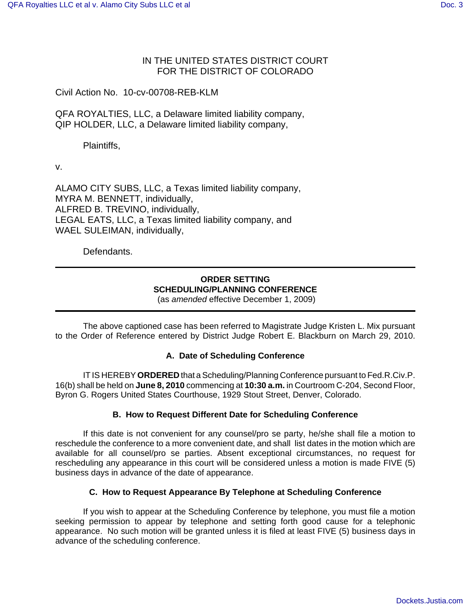# IN THE UNITED STATES DISTRICT COURT FOR THE DISTRICT OF COLORADO

Civil Action No. 10-cv-00708-REB-KLM

QFA ROYALTIES, LLC, a Delaware limited liability company, QIP HOLDER, LLC, a Delaware limited liability company,

Plaintiffs,

v.

ALAMO CITY SUBS, LLC, a Texas limited liability company, MYRA M. BENNETT, individually, ALFRED B. TREVINO, individually, LEGAL EATS, LLC, a Texas limited liability company, and WAEL SULEIMAN, individually,

Defendants.

# **ORDER SETTING SCHEDULING/PLANNING CONFERENCE**

(as *amended* effective December 1, 2009)

The above captioned case has been referred to Magistrate Judge Kristen L. Mix pursuant to the Order of Reference entered by District Judge Robert E. Blackburn on March 29, 2010.

# **A. Date of Scheduling Conference**

IT IS HEREBY **ORDERED** that a Scheduling/Planning Conference pursuant to Fed.R.Civ.P. 16(b) shall be held on **June 8, 2010** commencing at **10:30 a.m.** in Courtroom C-204, Second Floor, Byron G. Rogers United States Courthouse, 1929 Stout Street, Denver, Colorado.

# **B. How to Request Different Date for Scheduling Conference**

If this date is not convenient for any counsel/pro se party, he/she shall file a motion to reschedule the conference to a more convenient date, and shall list dates in the motion which are available for all counsel/pro se parties. Absent exceptional circumstances, no request for rescheduling any appearance in this court will be considered unless a motion is made FIVE (5) business days in advance of the date of appearance.

#### **C. How to Request Appearance By Telephone at Scheduling Conference**

If you wish to appear at the Scheduling Conference by telephone, you must file a motion seeking permission to appear by telephone and setting forth good cause for a telephonic appearance. No such motion will be granted unless it is filed at least FIVE (5) business days in advance of the scheduling conference.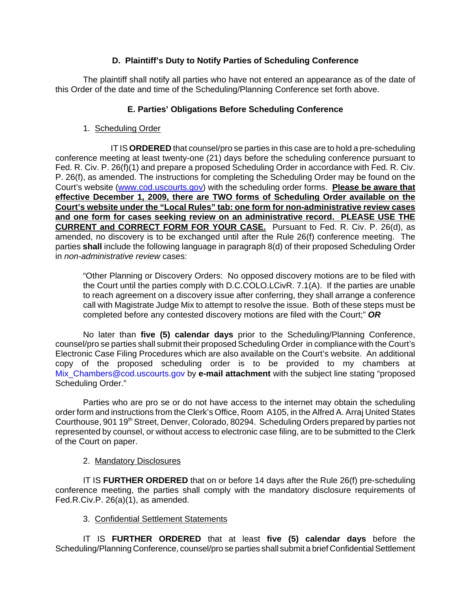# **D. Plaintiff's Duty to Notify Parties of Scheduling Conference**

The plaintiff shall notify all parties who have not entered an appearance as of the date of this Order of the date and time of the Scheduling/Planning Conference set forth above.

# **E. Parties' Obligations Before Scheduling Conference**

1. Scheduling Order

IT IS **ORDERED** that counsel/pro se parties in this case are to hold a pre-scheduling conference meeting at least twenty-one (21) days before the scheduling conference pursuant to Fed. R. Civ. P. 26(f)(1) and prepare a proposed Scheduling Order in accordance with Fed. R. Civ. P. 26(f), as amended. The instructions for completing the Scheduling Order may be found on the Court's website (www.cod.uscourts.gov) with the scheduling order forms. **Please be aware that effective December 1, 2009, there are TWO forms of Scheduling Order available on the Court's website under the "Local Rules" tab: one form for non-administrative review cases and one form for cases seeking review on an administrative record. PLEASE USE THE CURRENT and CORRECT FORM FOR YOUR CASE.** Pursuant to Fed. R. Civ. P. 26(d), as amended, no discovery is to be exchanged until after the Rule 26(f) conference meeting. The parties **shall** include the following language in paragraph 8(d) of their proposed Scheduling Order in *non-administrative review* cases:

"Other Planning or Discovery Orders: No opposed discovery motions are to be filed with the Court until the parties comply with D.C.COLO.LCivR. 7.1(A). If the parties are unable to reach agreement on a discovery issue after conferring, they shall arrange a conference call with Magistrate Judge Mix to attempt to resolve the issue. Both of these steps must be completed before any contested discovery motions are filed with the Court;" *OR*

No later than **five (5) calendar days** prior to the Scheduling/Planning Conference, counsel/pro se parties shall submit their proposed Scheduling Order in compliance with the Court's Electronic Case Filing Procedures which are also available on the Court's website. An additional copy of the proposed scheduling order is to be provided to my chambers at Mix Chambers@cod.uscourts.gov by **e-mail attachment** with the subject line stating "proposed Scheduling Order."

Parties who are pro se or do not have access to the internet may obtain the scheduling order form and instructions from the Clerk's Office, Room A105, in the Alfred A. Arraj United States Courthouse, 901 19<sup>th</sup> Street, Denver, Colorado, 80294. Scheduling Orders prepared by parties not represented by counsel, or without access to electronic case filing, are to be submitted to the Clerk of the Court on paper.

# 2. Mandatory Disclosures

IT IS **FURTHER ORDERED** that on or before 14 days after the Rule 26(f) pre-scheduling conference meeting, the parties shall comply with the mandatory disclosure requirements of Fed.R.Civ.P. 26(a)(1), as amended.

# 3. Confidential Settlement Statements

IT IS **FURTHER ORDERED** that at least **five (5) calendar days** before the Scheduling/Planning Conference, counsel/pro se parties shall submit a brief Confidential Settlement